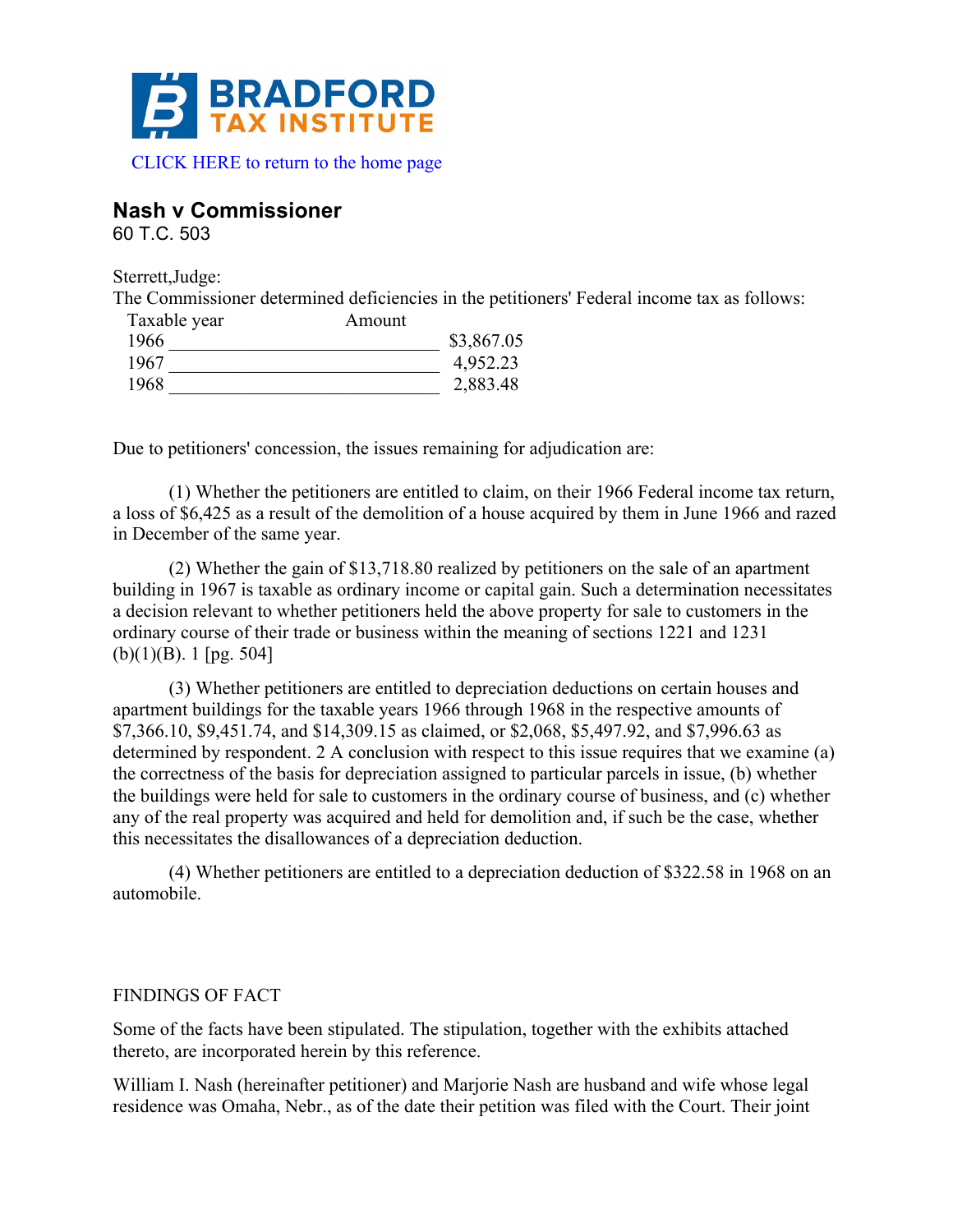

#### **Nash v Commissioner**

60 T.C. 503

Sterrett,Judge:

The Commissioner determined deficiencies in the petitioners' Federal income tax as follows:

| Taxable year | Amount |            |
|--------------|--------|------------|
| 1966         |        | \$3,867.05 |
| 1967         |        | 4,952.23   |
| 1968         |        | 2,883.48   |

Due to petitioners' concession, the issues remaining for adjudication are:

(1) Whether the petitioners are entitled to claim, on their 1966 Federal income tax return, a loss of \$6,425 as a result of the demolition of a house acquired by them in June 1966 and razed in December of the same year.

(2) Whether the gain of \$13,718.80 realized by petitioners on the sale of an apartment building in 1967 is taxable as ordinary income or capital gain. Such a determination necessitates a decision relevant to whether petitioners held the above property for sale to customers in the ordinary course of their trade or business within the meaning of sections 1221 and 1231  $(b)(1)(B)$ . 1 [pg. 504]

(3) Whether petitioners are entitled to depreciation deductions on certain houses and apartment buildings for the taxable years 1966 through 1968 in the respective amounts of \$7,366.10, \$9,451.74, and \$14,309.15 as claimed, or \$2,068, \$5,497.92, and \$7,996.63 as determined by respondent. 2 A conclusion with respect to this issue requires that we examine (a) the correctness of the basis for depreciation assigned to particular parcels in issue, (b) whether the buildings were held for sale to customers in the ordinary course of business, and (c) whether any of the real property was acquired and held for demolition and, if such be the case, whether this necessitates the disallowances of a depreciation deduction.

(4) Whether petitioners are entitled to a depreciation deduction of \$322.58 in 1968 on an automobile.

#### FINDINGS OF FACT

Some of the facts have been stipulated. The stipulation, together with the exhibits attached thereto, are incorporated herein by this reference.

William I. Nash (hereinafter petitioner) and Marjorie Nash are husband and wife whose legal residence was Omaha, Nebr., as of the date their petition was filed with the Court. Their joint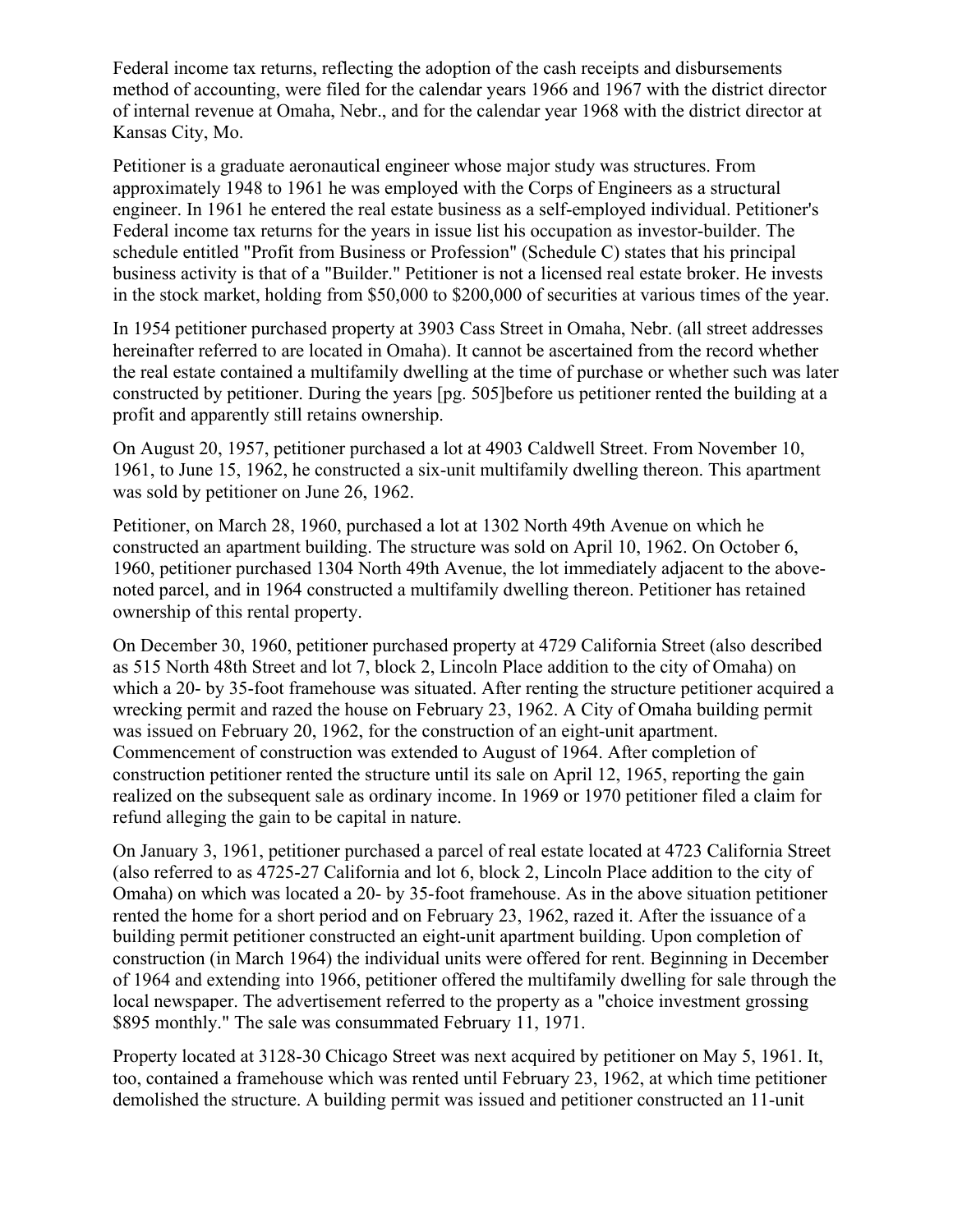Federal income tax returns, reflecting the adoption of the cash receipts and disbursements method of accounting, were filed for the calendar years 1966 and 1967 with the district director of internal revenue at Omaha, Nebr., and for the calendar year 1968 with the district director at Kansas City, Mo.

Petitioner is a graduate aeronautical engineer whose major study was structures. From approximately 1948 to 1961 he was employed with the Corps of Engineers as a structural engineer. In 1961 he entered the real estate business as a self-employed individual. Petitioner's Federal income tax returns for the years in issue list his occupation as investor-builder. The schedule entitled "Profit from Business or Profession" (Schedule C) states that his principal business activity is that of a "Builder." Petitioner is not a licensed real estate broker. He invests in the stock market, holding from \$50,000 to \$200,000 of securities at various times of the year.

In 1954 petitioner purchased property at 3903 Cass Street in Omaha, Nebr. (all street addresses hereinafter referred to are located in Omaha). It cannot be ascertained from the record whether the real estate contained a multifamily dwelling at the time of purchase or whether such was later constructed by petitioner. During the years [pg. 505]before us petitioner rented the building at a profit and apparently still retains ownership.

On August 20, 1957, petitioner purchased a lot at 4903 Caldwell Street. From November 10, 1961, to June 15, 1962, he constructed a six-unit multifamily dwelling thereon. This apartment was sold by petitioner on June 26, 1962.

Petitioner, on March 28, 1960, purchased a lot at 1302 North 49th Avenue on which he constructed an apartment building. The structure was sold on April 10, 1962. On October 6, 1960, petitioner purchased 1304 North 49th Avenue, the lot immediately adjacent to the abovenoted parcel, and in 1964 constructed a multifamily dwelling thereon. Petitioner has retained ownership of this rental property.

On December 30, 1960, petitioner purchased property at 4729 California Street (also described as 515 North 48th Street and lot 7, block 2, Lincoln Place addition to the city of Omaha) on which a 20- by 35-foot framehouse was situated. After renting the structure petitioner acquired a wrecking permit and razed the house on February 23, 1962. A City of Omaha building permit was issued on February 20, 1962, for the construction of an eight-unit apartment. Commencement of construction was extended to August of 1964. After completion of construction petitioner rented the structure until its sale on April 12, 1965, reporting the gain realized on the subsequent sale as ordinary income. In 1969 or 1970 petitioner filed a claim for refund alleging the gain to be capital in nature.

On January 3, 1961, petitioner purchased a parcel of real estate located at 4723 California Street (also referred to as 4725-27 California and lot 6, block 2, Lincoln Place addition to the city of Omaha) on which was located a 20- by 35-foot framehouse. As in the above situation petitioner rented the home for a short period and on February 23, 1962, razed it. After the issuance of a building permit petitioner constructed an eight-unit apartment building. Upon completion of construction (in March 1964) the individual units were offered for rent. Beginning in December of 1964 and extending into 1966, petitioner offered the multifamily dwelling for sale through the local newspaper. The advertisement referred to the property as a "choice investment grossing \$895 monthly." The sale was consummated February 11, 1971.

Property located at 3128-30 Chicago Street was next acquired by petitioner on May 5, 1961. It, too, contained a framehouse which was rented until February 23, 1962, at which time petitioner demolished the structure. A building permit was issued and petitioner constructed an 11-unit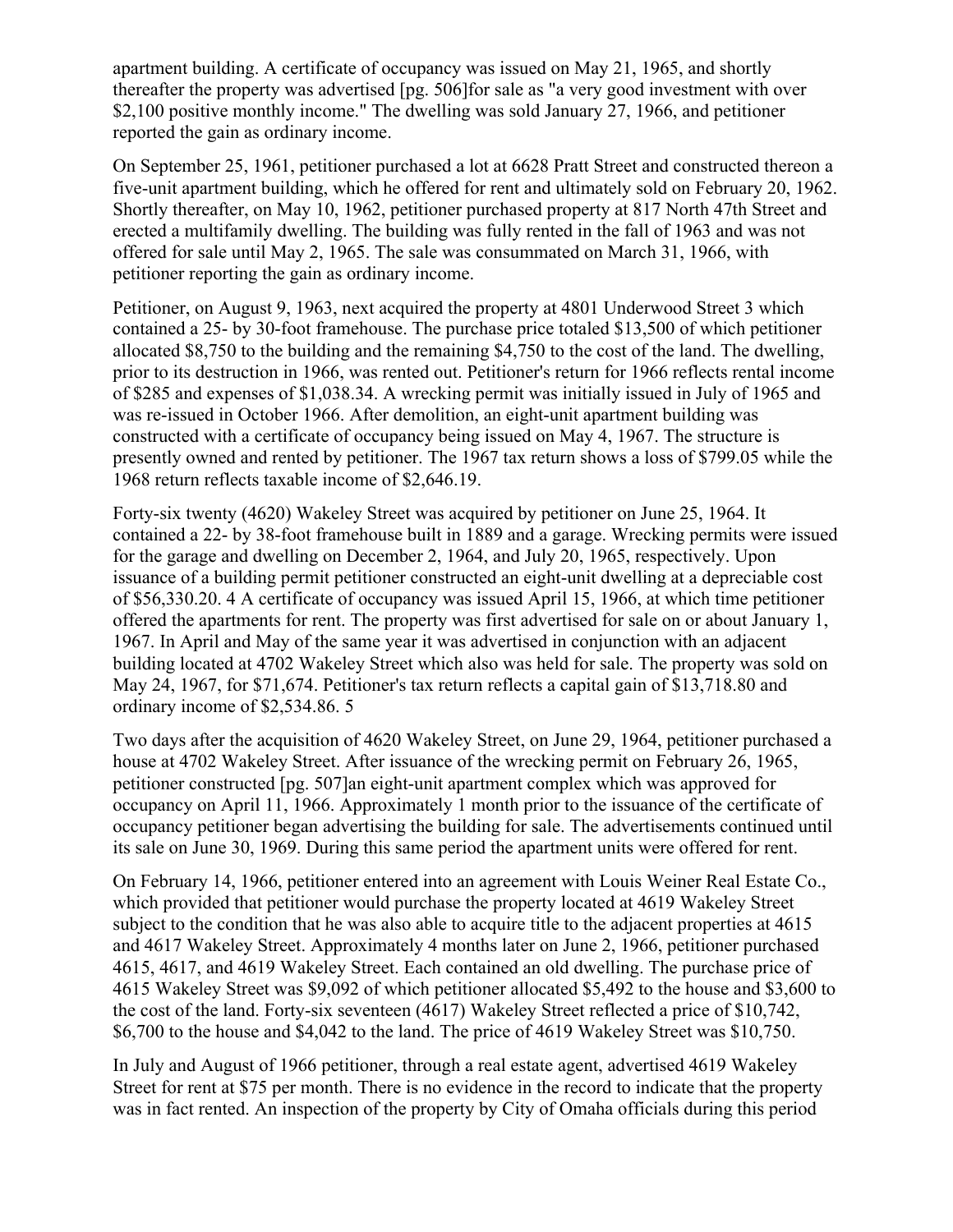apartment building. A certificate of occupancy was issued on May 21, 1965, and shortly thereafter the property was advertised [pg. 506]for sale as "a very good investment with over \$2,100 positive monthly income." The dwelling was sold January 27, 1966, and petitioner reported the gain as ordinary income.

On September 25, 1961, petitioner purchased a lot at 6628 Pratt Street and constructed thereon a five-unit apartment building, which he offered for rent and ultimately sold on February 20, 1962. Shortly thereafter, on May 10, 1962, petitioner purchased property at 817 North 47th Street and erected a multifamily dwelling. The building was fully rented in the fall of 1963 and was not offered for sale until May 2, 1965. The sale was consummated on March 31, 1966, with petitioner reporting the gain as ordinary income.

Petitioner, on August 9, 1963, next acquired the property at 4801 Underwood Street 3 which contained a 25- by 30-foot framehouse. The purchase price totaled \$13,500 of which petitioner allocated \$8,750 to the building and the remaining \$4,750 to the cost of the land. The dwelling, prior to its destruction in 1966, was rented out. Petitioner's return for 1966 reflects rental income of \$285 and expenses of \$1,038.34. A wrecking permit was initially issued in July of 1965 and was re-issued in October 1966. After demolition, an eight-unit apartment building was constructed with a certificate of occupancy being issued on May 4, 1967. The structure is presently owned and rented by petitioner. The 1967 tax return shows a loss of \$799.05 while the 1968 return reflects taxable income of \$2,646.19.

Forty-six twenty (4620) Wakeley Street was acquired by petitioner on June 25, 1964. It contained a 22- by 38-foot framehouse built in 1889 and a garage. Wrecking permits were issued for the garage and dwelling on December 2, 1964, and July 20, 1965, respectively. Upon issuance of a building permit petitioner constructed an eight-unit dwelling at a depreciable cost of \$56,330.20. 4 A certificate of occupancy was issued April 15, 1966, at which time petitioner offered the apartments for rent. The property was first advertised for sale on or about January 1, 1967. In April and May of the same year it was advertised in conjunction with an adjacent building located at 4702 Wakeley Street which also was held for sale. The property was sold on May 24, 1967, for \$71,674. Petitioner's tax return reflects a capital gain of \$13,718.80 and ordinary income of \$2,534.86. 5

Two days after the acquisition of 4620 Wakeley Street, on June 29, 1964, petitioner purchased a house at 4702 Wakeley Street. After issuance of the wrecking permit on February 26, 1965, petitioner constructed [pg. 507]an eight-unit apartment complex which was approved for occupancy on April 11, 1966. Approximately 1 month prior to the issuance of the certificate of occupancy petitioner began advertising the building for sale. The advertisements continued until its sale on June 30, 1969. During this same period the apartment units were offered for rent.

On February 14, 1966, petitioner entered into an agreement with Louis Weiner Real Estate Co., which provided that petitioner would purchase the property located at 4619 Wakeley Street subject to the condition that he was also able to acquire title to the adjacent properties at 4615 and 4617 Wakeley Street. Approximately 4 months later on June 2, 1966, petitioner purchased 4615, 4617, and 4619 Wakeley Street. Each contained an old dwelling. The purchase price of 4615 Wakeley Street was \$9,092 of which petitioner allocated \$5,492 to the house and \$3,600 to the cost of the land. Forty-six seventeen (4617) Wakeley Street reflected a price of \$10,742, \$6,700 to the house and \$4,042 to the land. The price of 4619 Wakeley Street was \$10,750.

In July and August of 1966 petitioner, through a real estate agent, advertised 4619 Wakeley Street for rent at \$75 per month. There is no evidence in the record to indicate that the property was in fact rented. An inspection of the property by City of Omaha officials during this period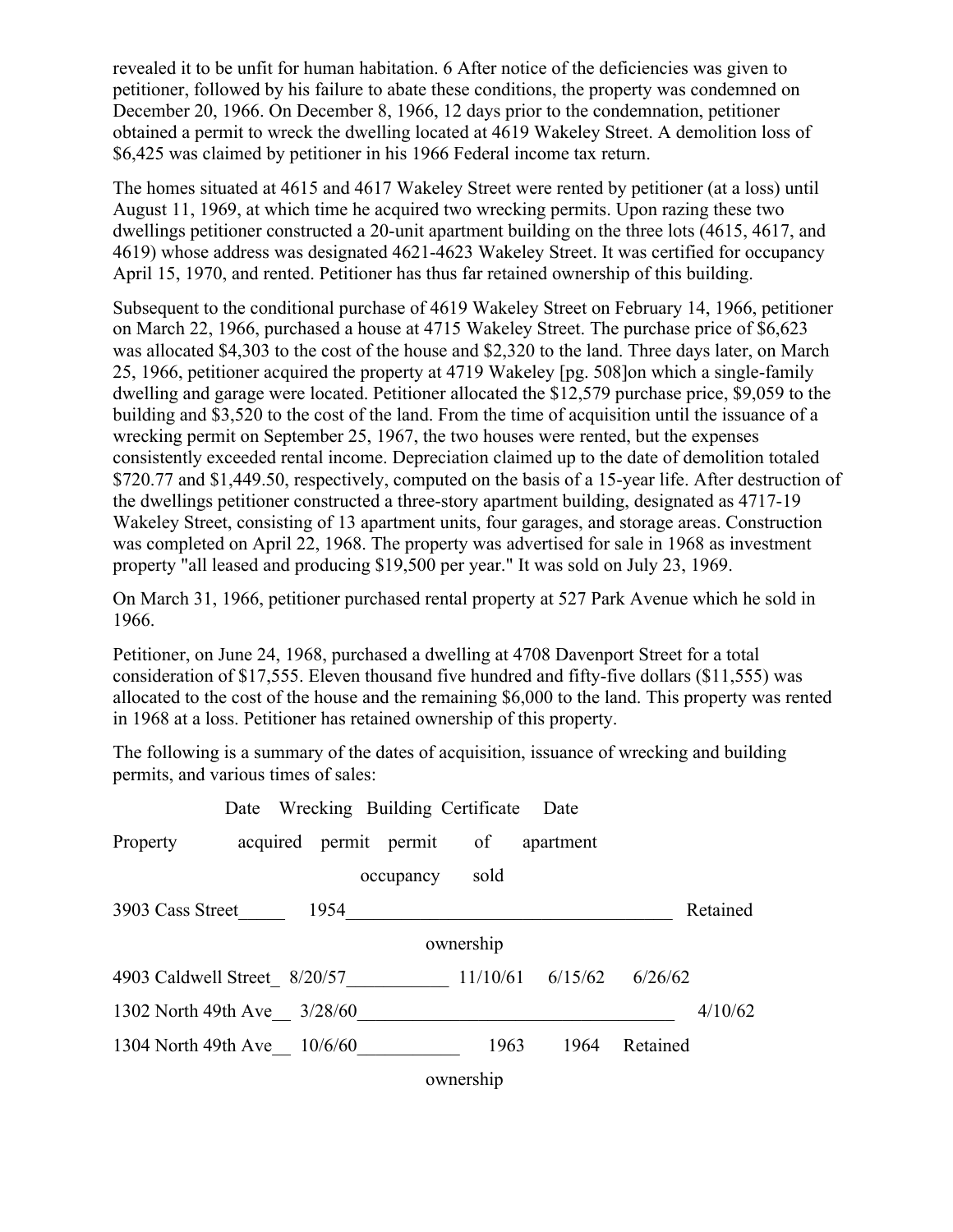revealed it to be unfit for human habitation. 6 After notice of the deficiencies was given to petitioner, followed by his failure to abate these conditions, the property was condemned on December 20, 1966. On December 8, 1966, 12 days prior to the condemnation, petitioner obtained a permit to wreck the dwelling located at 4619 Wakeley Street. A demolition loss of \$6,425 was claimed by petitioner in his 1966 Federal income tax return.

The homes situated at 4615 and 4617 Wakeley Street were rented by petitioner (at a loss) until August 11, 1969, at which time he acquired two wrecking permits. Upon razing these two dwellings petitioner constructed a 20-unit apartment building on the three lots (4615, 4617, and 4619) whose address was designated 4621-4623 Wakeley Street. It was certified for occupancy April 15, 1970, and rented. Petitioner has thus far retained ownership of this building.

Subsequent to the conditional purchase of 4619 Wakeley Street on February 14, 1966, petitioner on March 22, 1966, purchased a house at 4715 Wakeley Street. The purchase price of \$6,623 was allocated \$4,303 to the cost of the house and \$2,320 to the land. Three days later, on March 25, 1966, petitioner acquired the property at 4719 Wakeley [pg. 508]on which a single-family dwelling and garage were located. Petitioner allocated the \$12,579 purchase price, \$9,059 to the building and \$3,520 to the cost of the land. From the time of acquisition until the issuance of a wrecking permit on September 25, 1967, the two houses were rented, but the expenses consistently exceeded rental income. Depreciation claimed up to the date of demolition totaled \$720.77 and \$1,449.50, respectively, computed on the basis of a 15-year life. After destruction of the dwellings petitioner constructed a three-story apartment building, designated as 4717-19 Wakeley Street, consisting of 13 apartment units, four garages, and storage areas. Construction was completed on April 22, 1968. The property was advertised for sale in 1968 as investment property "all leased and producing \$19,500 per year." It was sold on July 23, 1969.

On March 31, 1966, petitioner purchased rental property at 527 Park Avenue which he sold in 1966.

Petitioner, on June 24, 1968, purchased a dwelling at 4708 Davenport Street for a total consideration of \$17,555. Eleven thousand five hundred and fifty-five dollars (\$11,555) was allocated to the cost of the house and the remaining \$6,000 to the land. This property was rented in 1968 at a loss. Petitioner has retained ownership of this property.

The following is a summary of the dates of acquisition, issuance of wrecking and building permits, and various times of sales:

|                                               | Date Wrecking Building Certificate Date |      |           |           |                                     |          |          |
|-----------------------------------------------|-----------------------------------------|------|-----------|-----------|-------------------------------------|----------|----------|
| Property                                      |                                         |      |           |           | acquired permit permit of apartment |          |          |
|                                               |                                         |      | occupancy | sold      |                                     |          |          |
| 3903 Cass Street                              |                                         | 1954 |           |           |                                     |          | Retained |
|                                               |                                         |      |           | ownership |                                     |          |          |
| 4903 Caldwell Street 8/20/57 11/10/61 6/15/62 |                                         |      |           |           |                                     | 6/26/62  |          |
| 1302 North 49th Ave 3/28/60                   |                                         |      |           |           |                                     |          | 4/10/62  |
| 1304 North 49th Ave 10/6/60                   |                                         |      |           | 1963      | 1964                                | Retained |          |
|                                               |                                         |      |           | ownership |                                     |          |          |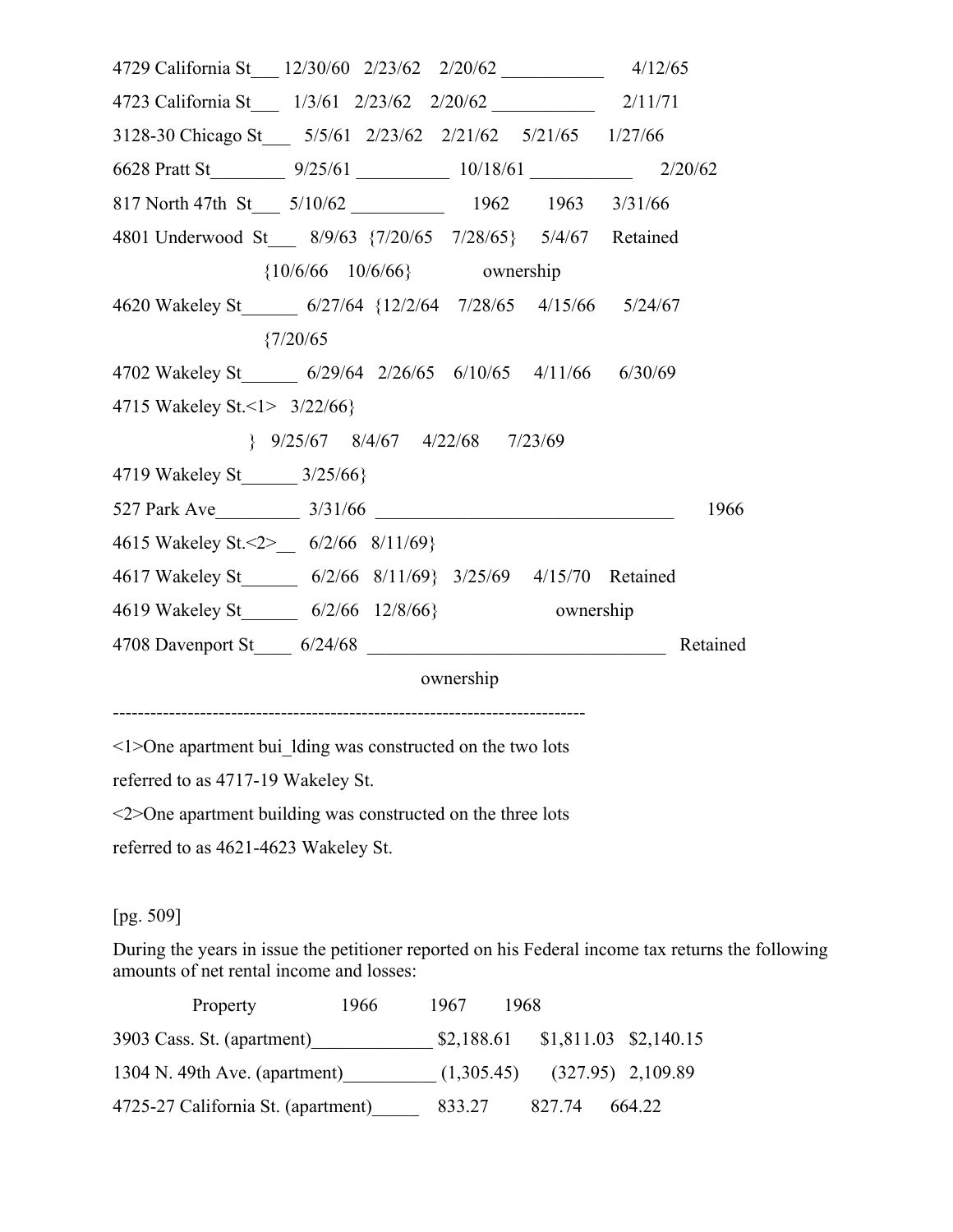| 4/12/65 / 4/12/65 / 4/12/65 / 4/12/65 / 4/12/65 / 4/12/65 / 4/12 |             |                                                     |  |          |
|------------------------------------------------------------------|-------------|-----------------------------------------------------|--|----------|
| 4723 California St___ 1/3/61 2/23/62 2/20/62 __________ 2/11/71  |             |                                                     |  |          |
| 3128-30 Chicago St___ 5/5/61 2/23/62 2/21/62 5/21/65 1/27/66     |             |                                                     |  |          |
|                                                                  |             |                                                     |  |          |
| 817 North 47th St___ 5/10/62 ____________ 1962 1963 3/31/66      |             |                                                     |  |          |
| 4801 Underwood St___ 8/9/63 {7/20/65 7/28/65} 5/4/67 Retained    |             |                                                     |  |          |
|                                                                  |             | ${10/6/66 \t10/6/66}$ ownership                     |  |          |
| 4620 Wakeley St 6/27/64 {12/2/64 7/28/65 4/15/66 5/24/67         |             |                                                     |  |          |
|                                                                  | ${7/20/65}$ |                                                     |  |          |
| 4702 Wakeley St 6/29/64 2/26/65 6/10/65 4/11/66 6/30/69          |             |                                                     |  |          |
| 4715 Wakeley St. < 1> 3/22/66}                                   |             |                                                     |  |          |
|                                                                  |             | $\{9/25/67\quad 8/4/67\quad 4/22/68\quad 7/23/69\}$ |  |          |
| 4719 Wakeley St 3/25/66}                                         |             |                                                     |  |          |
|                                                                  |             |                                                     |  | 1966     |
| 4615 Wakeley St. < 2> 6/2/66 8/11/69}                            |             |                                                     |  |          |
| 4617 Wakeley St 6/2/66 8/11/69} 3/25/69 4/15/70 Retained         |             |                                                     |  |          |
| 4619 Wakeley St_________ 6/2/66 12/8/66} ownership               |             |                                                     |  |          |
| 4708 Davenport St 6/24/68                                        |             |                                                     |  | Retained |
|                                                                  |             | ownership                                           |  |          |
|                                                                  |             |                                                     |  |          |

<1>One apartment bui\_lding was constructed on the two lots

referred to as 4717-19 Wakeley St.

<2>One apartment building was constructed on the three lots

referred to as 4621-4623 Wakeley St.

# [pg. 509]

During the years in issue the petitioner reported on his Federal income tax returns the following amounts of net rental income and losses:

| Property                           | 1966 | 1967       | 1968 |        |                                    |
|------------------------------------|------|------------|------|--------|------------------------------------|
| 3903 Cass. St. (apartment)         |      | \$2,188.61 |      |        | $$1,811.03$ $$2,140.15$            |
| 1304 N. 49th Ave. (apartment)      |      |            |      |        | $(1,305.45)$ $(327.95)$ $2,109.89$ |
| 4725-27 California St. (apartment) |      | 833.27     |      | 827.74 | 664.22                             |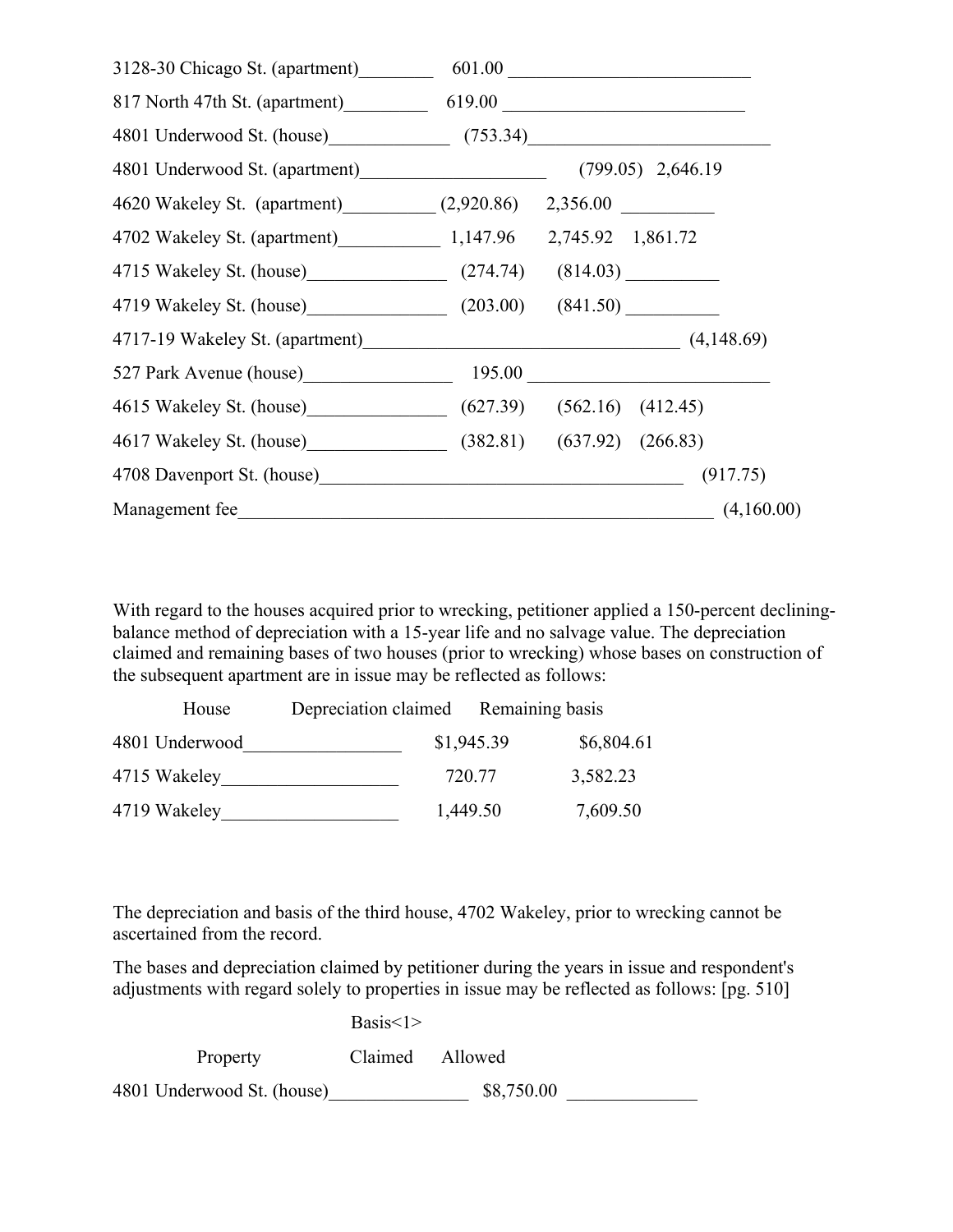| 3128-30 Chicago St. (apartment) 601.00                  |            |
|---------------------------------------------------------|------------|
| 817 North 47th St. (apartment) 619.00                   |            |
| 4801 Underwood St. (house) (753.34)                     |            |
|                                                         |            |
| 4620 Wakeley St. (apartment) (2,920.86) 2,356.00        |            |
| 4702 Wakeley St. (apartment) 1,147.96 2,745.92 1,861.72 |            |
| 4715 Wakeley St. (house) (274.74) (814.03)              |            |
| 4719 Wakeley St. (house) (203.00) (841.50)              |            |
|                                                         |            |
| 527 Park Avenue (house) 195.00                          |            |
| 4615 Wakeley St. (house) (627.39) (562.16) (412.45)     |            |
| 4617 Wakeley St. (house) (382.81) (637.92) (266.83)     |            |
| 4708 Davenport St. (house)                              | (917.75)   |
| Management fee                                          | (4,160.00) |

With regard to the houses acquired prior to wrecking, petitioner applied a 150-percent decliningbalance method of depreciation with a 15-year life and no salvage value. The depreciation claimed and remaining bases of two houses (prior to wrecking) whose bases on construction of the subsequent apartment are in issue may be reflected as follows:

| House          | Depreciation claimed Remaining basis |            |            |
|----------------|--------------------------------------|------------|------------|
| 4801 Underwood |                                      | \$1,945.39 | \$6,804.61 |
| 4715 Wakeley   |                                      | 720.77     | 3,582.23   |
| 4719 Wakeley   |                                      | 1,449.50   | 7,609.50   |

The depreciation and basis of the third house, 4702 Wakeley, prior to wrecking cannot be ascertained from the record.

The bases and depreciation claimed by petitioner during the years in issue and respondent's adjustments with regard solely to properties in issue may be reflected as follows: [pg. 510]

|                            | Basis<1>        |            |  |
|----------------------------|-----------------|------------|--|
| Property                   | Claimed Allowed |            |  |
| 4801 Underwood St. (house) |                 | \$8,750.00 |  |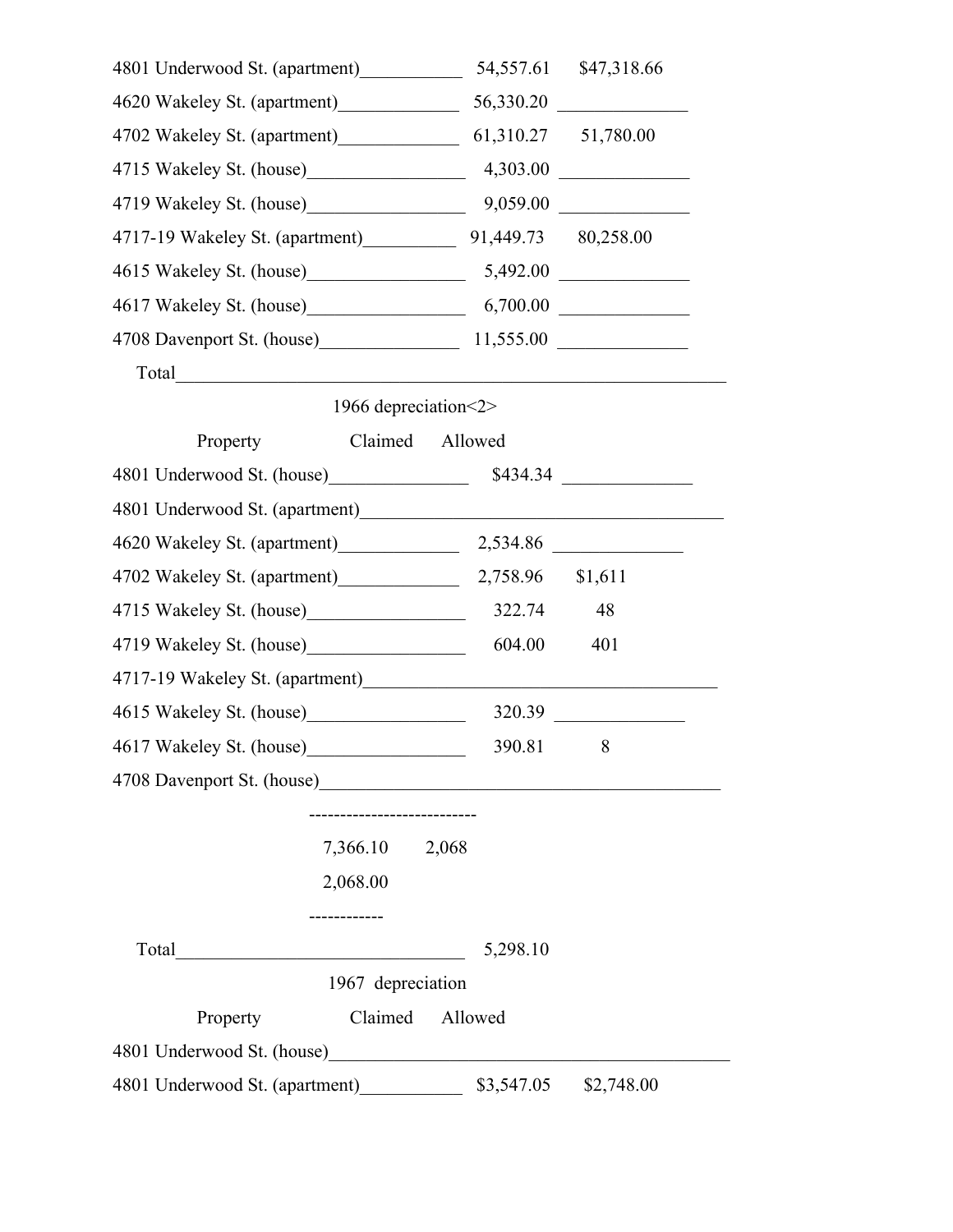| 4801 Underwood St. (apartment)                      |                                                                                                                       | 54,557.61  | \$47,318.66 |
|-----------------------------------------------------|-----------------------------------------------------------------------------------------------------------------------|------------|-------------|
| 4620 Wakeley St. (apartment)                        |                                                                                                                       | 56,330.20  |             |
| 4702 Wakeley St. (apartment) 61,310.27 51,780.00    |                                                                                                                       |            |             |
| 4715 Wakeley St. (house) 4,303.00                   |                                                                                                                       |            |             |
| 4719 Wakeley St. (house) 9,059.00                   |                                                                                                                       |            |             |
| 4717-19 Wakeley St. (apartment) 91,449.73 80,258.00 |                                                                                                                       |            |             |
| 4615 Wakeley St. (house) 5,492.00                   |                                                                                                                       |            |             |
| 4617 Wakeley St. (house) 6,700.00                   |                                                                                                                       |            |             |
| 4708 Davenport St. (house) 11,555.00                |                                                                                                                       |            |             |
| Total                                               | <u> 1980 - Jan Sterling, mars and de la provincia de la provincia de la provincia de la provincia de la provincia</u> |            |             |
|                                                     | 1966 depreciation < 2>                                                                                                |            |             |
| Property                                            | Claimed                                                                                                               | Allowed    |             |
| 4801 Underwood St. (house)                          |                                                                                                                       | \$434.34   |             |
|                                                     |                                                                                                                       |            |             |
| 4620 Wakeley St. (apartment) 2,534.86               |                                                                                                                       |            |             |
| 4702 Wakeley St. (apartment) 2,758.96               |                                                                                                                       |            | \$1,611     |
|                                                     |                                                                                                                       | 322.74     | 48          |
|                                                     |                                                                                                                       | 604.00     | 401         |
| 4717-19 Wakeley St. (apartment)                     |                                                                                                                       |            |             |
| 4615 Wakeley St. (house)                            |                                                                                                                       | 320.39     |             |
| 4617 Wakeley St. (house)                            |                                                                                                                       | 390.81     | 8           |
|                                                     |                                                                                                                       |            |             |
|                                                     |                                                                                                                       |            |             |
|                                                     | 7,366.10 2,068                                                                                                        |            |             |
|                                                     | 2,068.00                                                                                                              |            |             |
|                                                     |                                                                                                                       |            |             |
| Total                                               | <u> 1990 - Johann Barbara, martin amerikan ba</u>                                                                     | 5,298.10   |             |
|                                                     | 1967 depreciation                                                                                                     |            |             |
| Property                                            | Claimed                                                                                                               | Allowed    |             |
| 4801 Underwood St. (house)                          |                                                                                                                       |            |             |
| 4801 Underwood St. (apartment)                      |                                                                                                                       | \$3,547.05 | \$2,748.00  |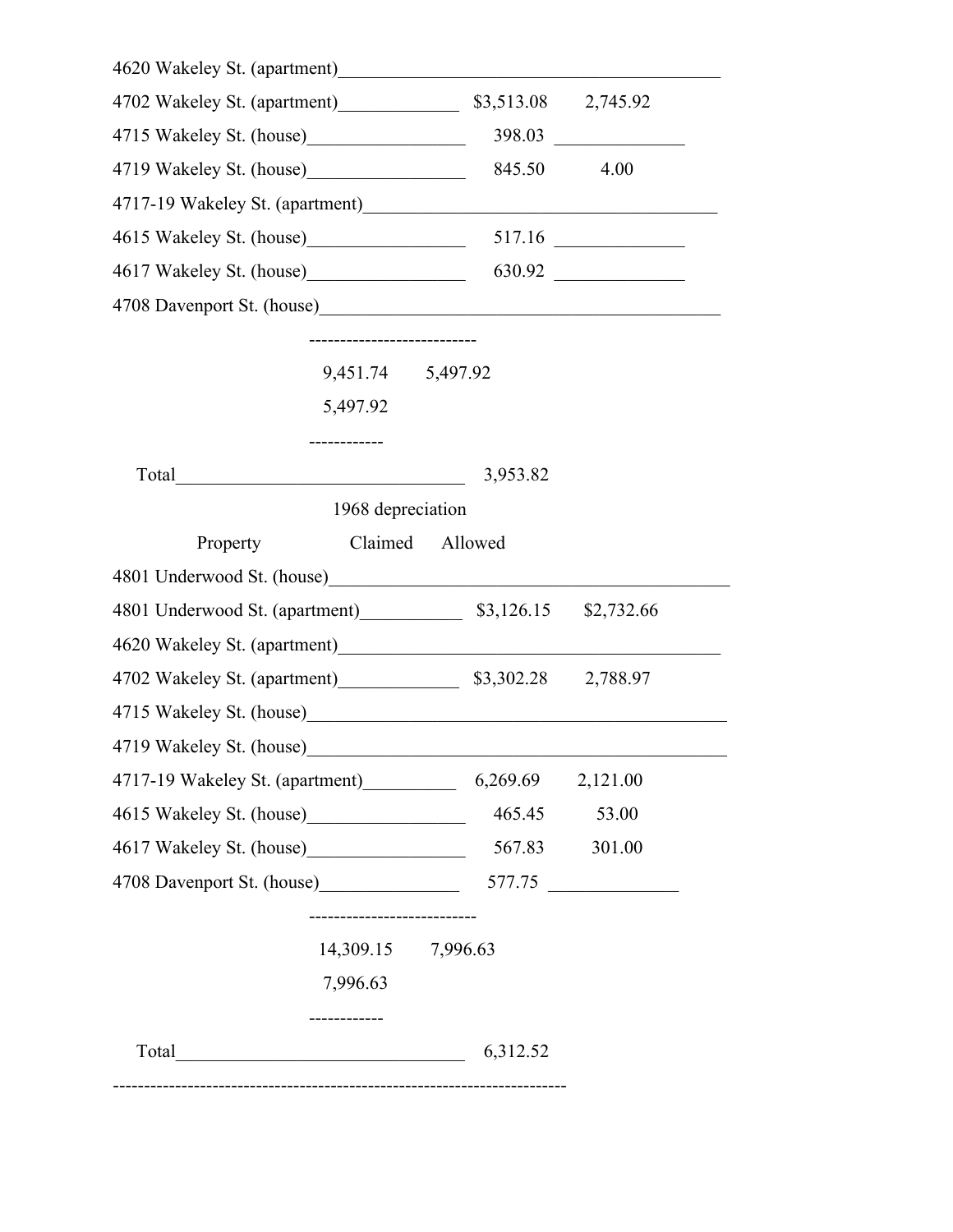| 845.50               | 4.00                                                                                                                                                                                                                                    |                                                                                                                                                                                                                                                                                                                                                                                                                                                                                                                                           |
|----------------------|-----------------------------------------------------------------------------------------------------------------------------------------------------------------------------------------------------------------------------------------|-------------------------------------------------------------------------------------------------------------------------------------------------------------------------------------------------------------------------------------------------------------------------------------------------------------------------------------------------------------------------------------------------------------------------------------------------------------------------------------------------------------------------------------------|
|                      |                                                                                                                                                                                                                                         |                                                                                                                                                                                                                                                                                                                                                                                                                                                                                                                                           |
|                      |                                                                                                                                                                                                                                         |                                                                                                                                                                                                                                                                                                                                                                                                                                                                                                                                           |
|                      |                                                                                                                                                                                                                                         |                                                                                                                                                                                                                                                                                                                                                                                                                                                                                                                                           |
|                      |                                                                                                                                                                                                                                         |                                                                                                                                                                                                                                                                                                                                                                                                                                                                                                                                           |
|                      |                                                                                                                                                                                                                                         |                                                                                                                                                                                                                                                                                                                                                                                                                                                                                                                                           |
|                      |                                                                                                                                                                                                                                         |                                                                                                                                                                                                                                                                                                                                                                                                                                                                                                                                           |
|                      |                                                                                                                                                                                                                                         |                                                                                                                                                                                                                                                                                                                                                                                                                                                                                                                                           |
|                      |                                                                                                                                                                                                                                         |                                                                                                                                                                                                                                                                                                                                                                                                                                                                                                                                           |
| Allowed              |                                                                                                                                                                                                                                         |                                                                                                                                                                                                                                                                                                                                                                                                                                                                                                                                           |
|                      |                                                                                                                                                                                                                                         |                                                                                                                                                                                                                                                                                                                                                                                                                                                                                                                                           |
|                      |                                                                                                                                                                                                                                         |                                                                                                                                                                                                                                                                                                                                                                                                                                                                                                                                           |
|                      |                                                                                                                                                                                                                                         |                                                                                                                                                                                                                                                                                                                                                                                                                                                                                                                                           |
|                      |                                                                                                                                                                                                                                         |                                                                                                                                                                                                                                                                                                                                                                                                                                                                                                                                           |
|                      |                                                                                                                                                                                                                                         |                                                                                                                                                                                                                                                                                                                                                                                                                                                                                                                                           |
|                      |                                                                                                                                                                                                                                         |                                                                                                                                                                                                                                                                                                                                                                                                                                                                                                                                           |
|                      | 2,121.00                                                                                                                                                                                                                                |                                                                                                                                                                                                                                                                                                                                                                                                                                                                                                                                           |
|                      | 53.00                                                                                                                                                                                                                                   |                                                                                                                                                                                                                                                                                                                                                                                                                                                                                                                                           |
|                      | 301.00                                                                                                                                                                                                                                  |                                                                                                                                                                                                                                                                                                                                                                                                                                                                                                                                           |
|                      |                                                                                                                                                                                                                                         |                                                                                                                                                                                                                                                                                                                                                                                                                                                                                                                                           |
|                      |                                                                                                                                                                                                                                         |                                                                                                                                                                                                                                                                                                                                                                                                                                                                                                                                           |
|                      |                                                                                                                                                                                                                                         |                                                                                                                                                                                                                                                                                                                                                                                                                                                                                                                                           |
|                      |                                                                                                                                                                                                                                         |                                                                                                                                                                                                                                                                                                                                                                                                                                                                                                                                           |
|                      |                                                                                                                                                                                                                                         |                                                                                                                                                                                                                                                                                                                                                                                                                                                                                                                                           |
| 5,497.92<br>7,996.63 | 4702 Wakeley St. (apartment)<br>9,451.74 5,497.92<br><u> 1980 - Johann Barnett, fransk politik (</u><br>3,953.82<br>1968 depreciation<br>Claimed<br>4717-19 Wakeley St. (apartment)<br>4708 Davenport St. (house)<br>14,309.15 7,996.63 | 4620 Wakeley St. (apartment) Marian March 2014<br>\$3,513.08 2,745.92<br>4615 Wakeley St. (house) 517.16<br>4617 Wakeley St. (house) 630.92<br>4801 Underwood St. (apartment) 53,126.15 \$2,732.66<br>4702 Wakeley St. (apartment) 53,302.28 2,788.97<br>4715 Wakeley St. (house)<br><u>Letting</u> the state of the state of the state of the state of the state of the state of the state of the state of the state of the state of the state of the state of the state of the state of the<br>6,269.69<br>465.45<br>567.83<br>$577.75$ |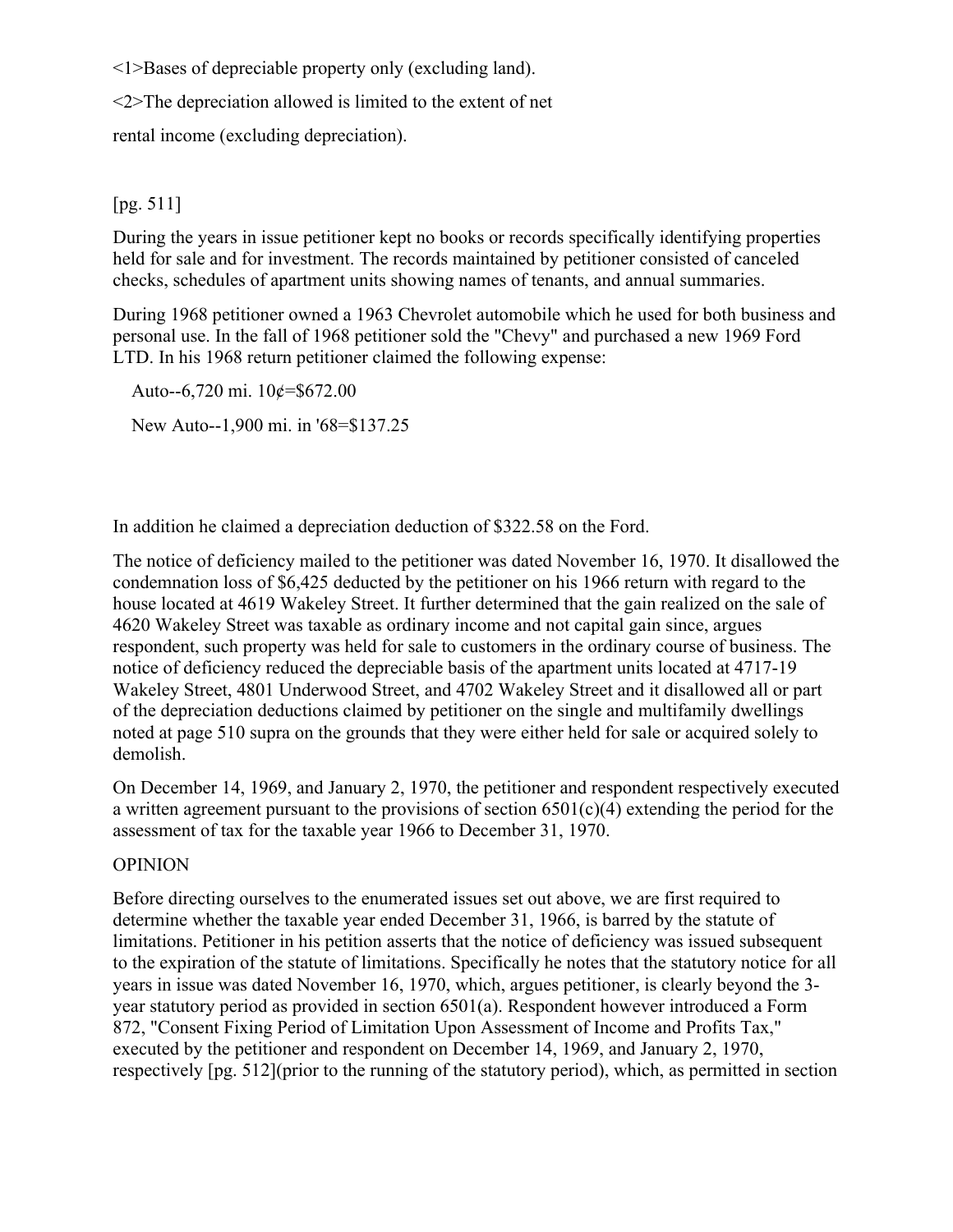<1>Bases of depreciable property only (excluding land).

<2>The depreciation allowed is limited to the extent of net

rental income (excluding depreciation).

# [pg. 511]

During the years in issue petitioner kept no books or records specifically identifying properties held for sale and for investment. The records maintained by petitioner consisted of canceled checks, schedules of apartment units showing names of tenants, and annual summaries.

During 1968 petitioner owned a 1963 Chevrolet automobile which he used for both business and personal use. In the fall of 1968 petitioner sold the "Chevy" and purchased a new 1969 Ford LTD. In his 1968 return petitioner claimed the following expense:

Auto--6,720 mi.  $10¢ = $672.00$ New Auto--1,900 mi. in '68=\$137.25

In addition he claimed a depreciation deduction of \$322.58 on the Ford.

The notice of deficiency mailed to the petitioner was dated November 16, 1970. It disallowed the condemnation loss of \$6,425 deducted by the petitioner on his 1966 return with regard to the house located at 4619 Wakeley Street. It further determined that the gain realized on the sale of 4620 Wakeley Street was taxable as ordinary income and not capital gain since, argues respondent, such property was held for sale to customers in the ordinary course of business. The notice of deficiency reduced the depreciable basis of the apartment units located at 4717-19 Wakeley Street, 4801 Underwood Street, and 4702 Wakeley Street and it disallowed all or part of the depreciation deductions claimed by petitioner on the single and multifamily dwellings noted at page 510 supra on the grounds that they were either held for sale or acquired solely to demolish.

On December 14, 1969, and January 2, 1970, the petitioner and respondent respectively executed a written agreement pursuant to the provisions of section 6501(c)(4) extending the period for the assessment of tax for the taxable year 1966 to December 31, 1970.

# **OPINION**

Before directing ourselves to the enumerated issues set out above, we are first required to determine whether the taxable year ended December 31, 1966, is barred by the statute of limitations. Petitioner in his petition asserts that the notice of deficiency was issued subsequent to the expiration of the statute of limitations. Specifically he notes that the statutory notice for all years in issue was dated November 16, 1970, which, argues petitioner, is clearly beyond the 3 year statutory period as provided in section 6501(a). Respondent however introduced a Form 872, "Consent Fixing Period of Limitation Upon Assessment of Income and Profits Tax," executed by the petitioner and respondent on December 14, 1969, and January 2, 1970, respectively [pg. 512](prior to the running of the statutory period), which, as permitted in section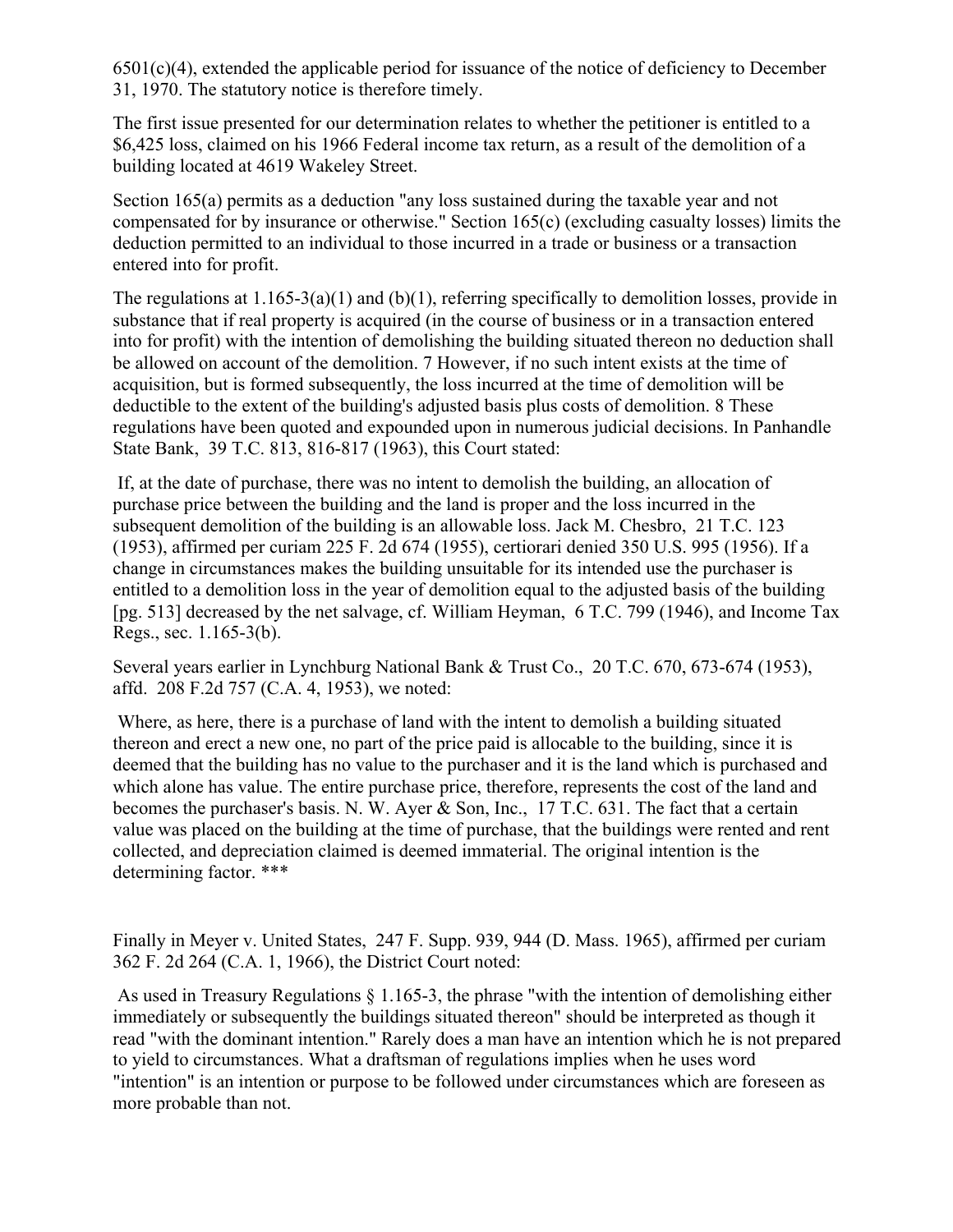$6501(c)(4)$ , extended the applicable period for issuance of the notice of deficiency to December 31, 1970. The statutory notice is therefore timely.

The first issue presented for our determination relates to whether the petitioner is entitled to a \$6,425 loss, claimed on his 1966 Federal income tax return, as a result of the demolition of a building located at 4619 Wakeley Street.

Section 165(a) permits as a deduction "any loss sustained during the taxable year and not compensated for by insurance or otherwise." Section 165(c) (excluding casualty losses) limits the deduction permitted to an individual to those incurred in a trade or business or a transaction entered into for profit.

The regulations at 1.165-3(a)(1) and (b)(1), referring specifically to demolition losses, provide in substance that if real property is acquired (in the course of business or in a transaction entered into for profit) with the intention of demolishing the building situated thereon no deduction shall be allowed on account of the demolition. 7 However, if no such intent exists at the time of acquisition, but is formed subsequently, the loss incurred at the time of demolition will be deductible to the extent of the building's adjusted basis plus costs of demolition. 8 These regulations have been quoted and expounded upon in numerous judicial decisions. In Panhandle State Bank, 39 T.C. 813, 816-817 (1963), this Court stated:

If, at the date of purchase, there was no intent to demolish the building, an allocation of purchase price between the building and the land is proper and the loss incurred in the subsequent demolition of the building is an allowable loss. Jack M. Chesbro, 21 T.C. 123 (1953), affirmed per curiam 225 F. 2d 674 (1955), certiorari denied 350 U.S. 995 (1956). If a change in circumstances makes the building unsuitable for its intended use the purchaser is entitled to a demolition loss in the year of demolition equal to the adjusted basis of the building [pg. 513] decreased by the net salvage, cf. William Heyman, 6 T.C. 799 (1946), and Income Tax Regs., sec. 1.165-3(b).

Several years earlier in Lynchburg National Bank & Trust Co., 20 T.C. 670, 673-674 (1953), affd. 208 F.2d 757 (C.A. 4, 1953), we noted:

Where, as here, there is a purchase of land with the intent to demolish a building situated thereon and erect a new one, no part of the price paid is allocable to the building, since it is deemed that the building has no value to the purchaser and it is the land which is purchased and which alone has value. The entire purchase price, therefore, represents the cost of the land and becomes the purchaser's basis. N. W. Ayer & Son, Inc., 17 T.C. 631. The fact that a certain value was placed on the building at the time of purchase, that the buildings were rented and rent collected, and depreciation claimed is deemed immaterial. The original intention is the determining factor. \*\*\*

Finally in Meyer v. United States, 247 F. Supp. 939, 944 (D. Mass. 1965), affirmed per curiam 362 F. 2d 264 (C.A. 1, 1966), the District Court noted:

As used in Treasury Regulations § 1.165-3, the phrase "with the intention of demolishing either immediately or subsequently the buildings situated thereon" should be interpreted as though it read "with the dominant intention." Rarely does a man have an intention which he is not prepared to yield to circumstances. What a draftsman of regulations implies when he uses word "intention" is an intention or purpose to be followed under circumstances which are foreseen as more probable than not.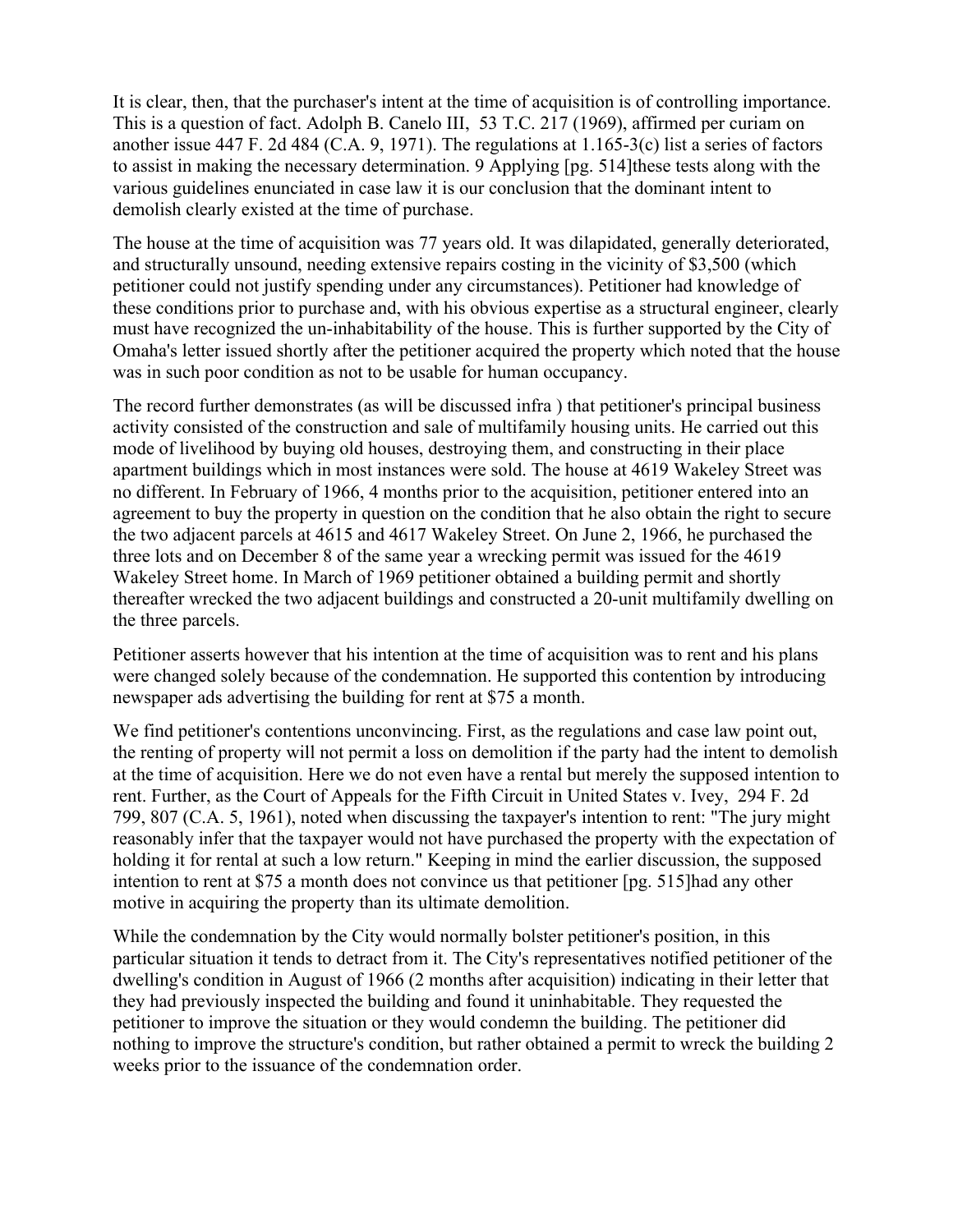It is clear, then, that the purchaser's intent at the time of acquisition is of controlling importance. This is a question of fact. Adolph B. Canelo III, 53 T.C. 217 (1969), affirmed per curiam on another issue 447 F. 2d 484 (C.A. 9, 1971). The regulations at 1.165-3(c) list a series of factors to assist in making the necessary determination. 9 Applying [pg. 514]these tests along with the various guidelines enunciated in case law it is our conclusion that the dominant intent to demolish clearly existed at the time of purchase.

The house at the time of acquisition was 77 years old. It was dilapidated, generally deteriorated, and structurally unsound, needing extensive repairs costing in the vicinity of \$3,500 (which petitioner could not justify spending under any circumstances). Petitioner had knowledge of these conditions prior to purchase and, with his obvious expertise as a structural engineer, clearly must have recognized the un-inhabitability of the house. This is further supported by the City of Omaha's letter issued shortly after the petitioner acquired the property which noted that the house was in such poor condition as not to be usable for human occupancy.

The record further demonstrates (as will be discussed infra ) that petitioner's principal business activity consisted of the construction and sale of multifamily housing units. He carried out this mode of livelihood by buying old houses, destroying them, and constructing in their place apartment buildings which in most instances were sold. The house at 4619 Wakeley Street was no different. In February of 1966, 4 months prior to the acquisition, petitioner entered into an agreement to buy the property in question on the condition that he also obtain the right to secure the two adjacent parcels at 4615 and 4617 Wakeley Street. On June 2, 1966, he purchased the three lots and on December 8 of the same year a wrecking permit was issued for the 4619 Wakeley Street home. In March of 1969 petitioner obtained a building permit and shortly thereafter wrecked the two adjacent buildings and constructed a 20-unit multifamily dwelling on the three parcels.

Petitioner asserts however that his intention at the time of acquisition was to rent and his plans were changed solely because of the condemnation. He supported this contention by introducing newspaper ads advertising the building for rent at \$75 a month.

We find petitioner's contentions unconvincing. First, as the regulations and case law point out, the renting of property will not permit a loss on demolition if the party had the intent to demolish at the time of acquisition. Here we do not even have a rental but merely the supposed intention to rent. Further, as the Court of Appeals for the Fifth Circuit in United States v. Ivey, 294 F. 2d 799, 807 (C.A. 5, 1961), noted when discussing the taxpayer's intention to rent: "The jury might reasonably infer that the taxpayer would not have purchased the property with the expectation of holding it for rental at such a low return." Keeping in mind the earlier discussion, the supposed intention to rent at \$75 a month does not convince us that petitioner [pg. 515]had any other motive in acquiring the property than its ultimate demolition.

While the condemnation by the City would normally bolster petitioner's position, in this particular situation it tends to detract from it. The City's representatives notified petitioner of the dwelling's condition in August of 1966 (2 months after acquisition) indicating in their letter that they had previously inspected the building and found it uninhabitable. They requested the petitioner to improve the situation or they would condemn the building. The petitioner did nothing to improve the structure's condition, but rather obtained a permit to wreck the building 2 weeks prior to the issuance of the condemnation order.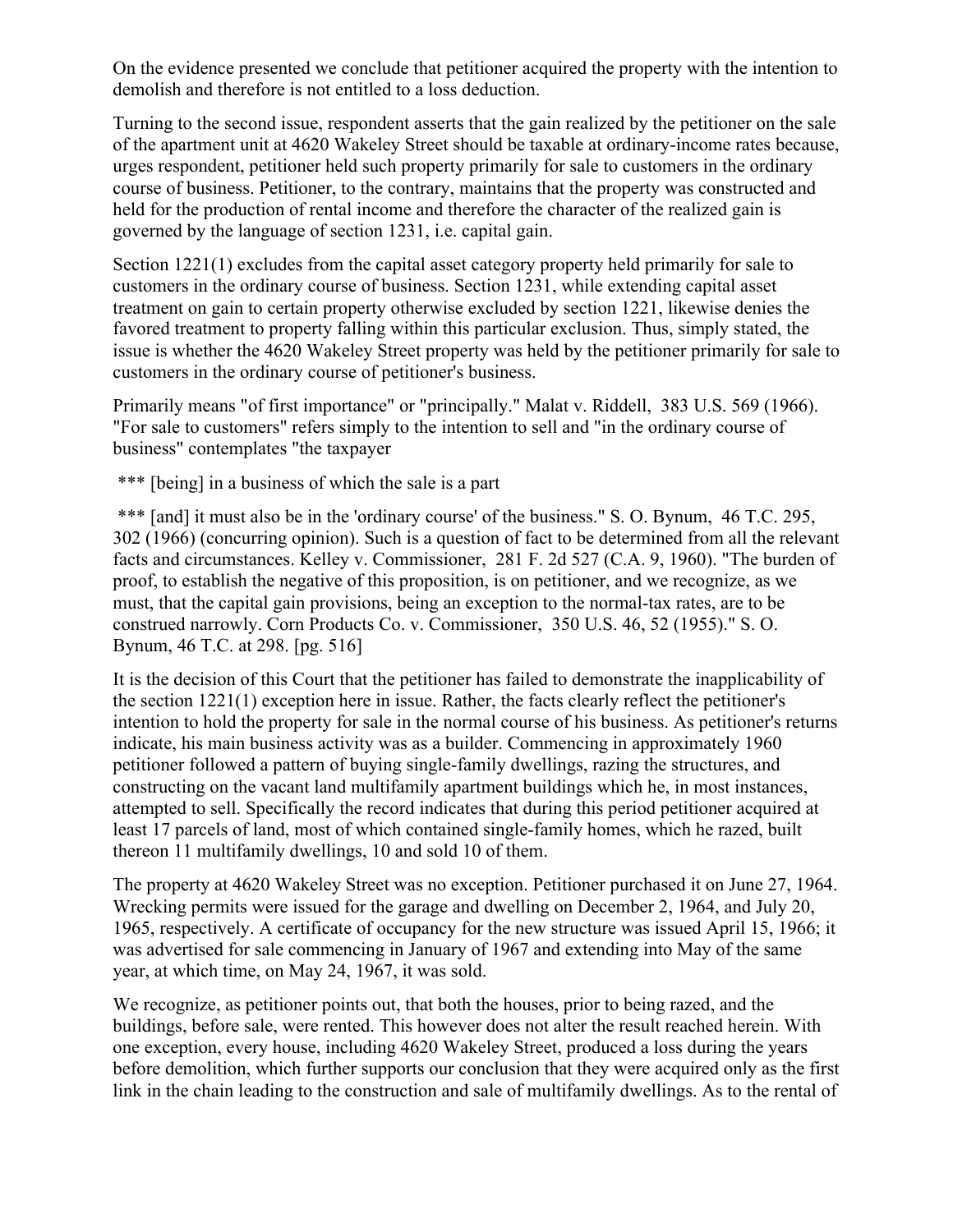On the evidence presented we conclude that petitioner acquired the property with the intention to demolish and therefore is not entitled to a loss deduction.

Turning to the second issue, respondent asserts that the gain realized by the petitioner on the sale of the apartment unit at 4620 Wakeley Street should be taxable at ordinary-income rates because, urges respondent, petitioner held such property primarily for sale to customers in the ordinary course of business. Petitioner, to the contrary, maintains that the property was constructed and held for the production of rental income and therefore the character of the realized gain is governed by the language of section 1231, i.e. capital gain.

Section 1221(1) excludes from the capital asset category property held primarily for sale to customers in the ordinary course of business. Section 1231, while extending capital asset treatment on gain to certain property otherwise excluded by section 1221, likewise denies the favored treatment to property falling within this particular exclusion. Thus, simply stated, the issue is whether the 4620 Wakeley Street property was held by the petitioner primarily for sale to customers in the ordinary course of petitioner's business.

Primarily means "of first importance" or "principally." Malat v. Riddell, 383 U.S. 569 (1966). "For sale to customers" refers simply to the intention to sell and "in the ordinary course of business" contemplates "the taxpayer

\*\*\* [being] in a business of which the sale is a part

\*\*\* [and] it must also be in the 'ordinary course' of the business." S. O. Bynum, 46 T.C. 295, 302 (1966) (concurring opinion). Such is a question of fact to be determined from all the relevant facts and circumstances. Kelley v. Commissioner, 281 F. 2d 527 (C.A. 9, 1960). "The burden of proof, to establish the negative of this proposition, is on petitioner, and we recognize, as we must, that the capital gain provisions, being an exception to the normal-tax rates, are to be construed narrowly. Corn Products Co. v. Commissioner, 350 U.S. 46, 52 (1955)." S. O. Bynum, 46 T.C. at 298. [pg. 516]

It is the decision of this Court that the petitioner has failed to demonstrate the inapplicability of the section 1221(1) exception here in issue. Rather, the facts clearly reflect the petitioner's intention to hold the property for sale in the normal course of his business. As petitioner's returns indicate, his main business activity was as a builder. Commencing in approximately 1960 petitioner followed a pattern of buying single-family dwellings, razing the structures, and constructing on the vacant land multifamily apartment buildings which he, in most instances, attempted to sell. Specifically the record indicates that during this period petitioner acquired at least 17 parcels of land, most of which contained single-family homes, which he razed, built thereon 11 multifamily dwellings, 10 and sold 10 of them.

The property at 4620 Wakeley Street was no exception. Petitioner purchased it on June 27, 1964. Wrecking permits were issued for the garage and dwelling on December 2, 1964, and July 20, 1965, respectively. A certificate of occupancy for the new structure was issued April 15, 1966; it was advertised for sale commencing in January of 1967 and extending into May of the same year, at which time, on May 24, 1967, it was sold.

We recognize, as petitioner points out, that both the houses, prior to being razed, and the buildings, before sale, were rented. This however does not alter the result reached herein. With one exception, every house, including 4620 Wakeley Street, produced a loss during the years before demolition, which further supports our conclusion that they were acquired only as the first link in the chain leading to the construction and sale of multifamily dwellings. As to the rental of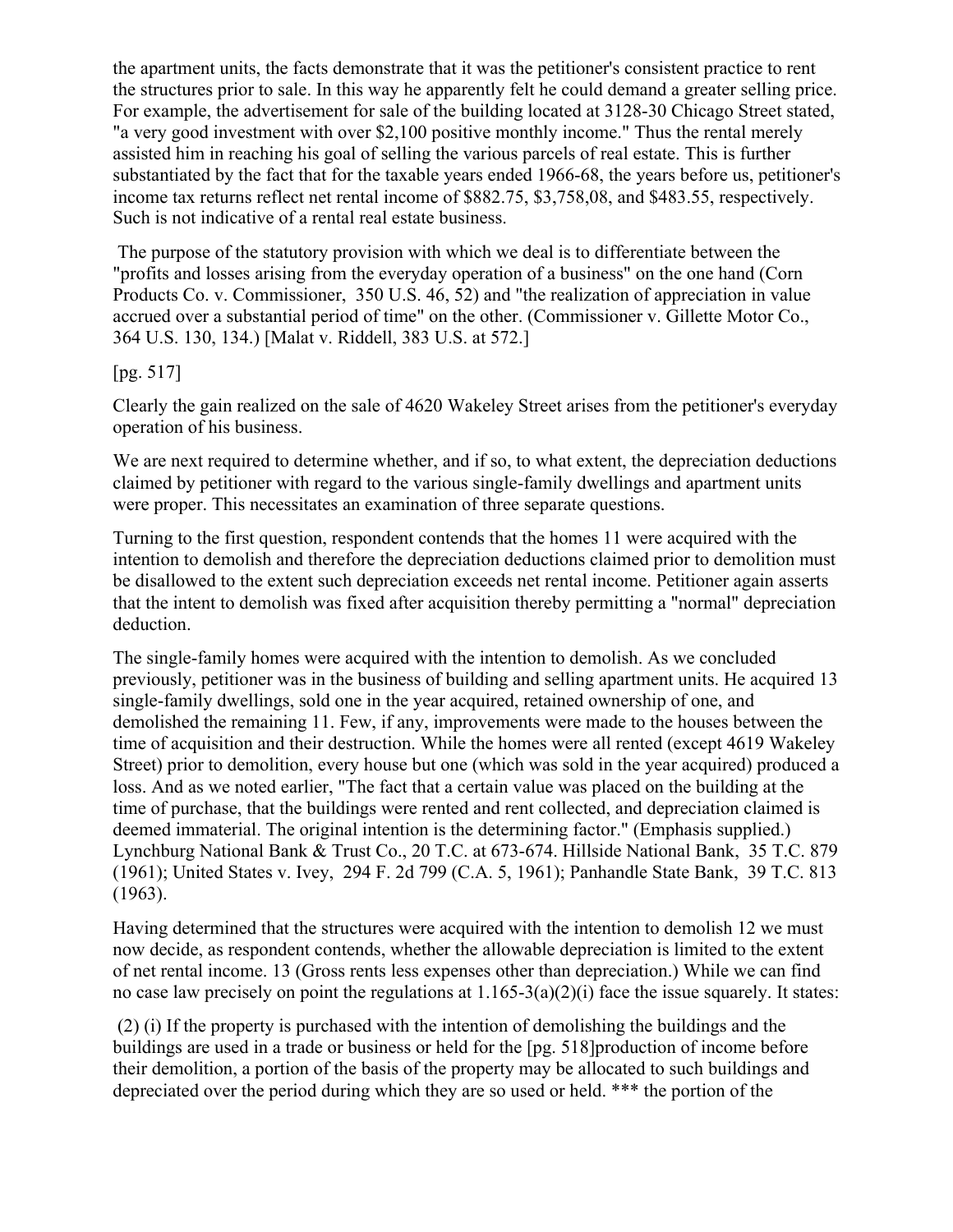the apartment units, the facts demonstrate that it was the petitioner's consistent practice to rent the structures prior to sale. In this way he apparently felt he could demand a greater selling price. For example, the advertisement for sale of the building located at 3128-30 Chicago Street stated, "a very good investment with over \$2,100 positive monthly income." Thus the rental merely assisted him in reaching his goal of selling the various parcels of real estate. This is further substantiated by the fact that for the taxable years ended 1966-68, the years before us, petitioner's income tax returns reflect net rental income of \$882.75, \$3,758,08, and \$483.55, respectively. Such is not indicative of a rental real estate business.

The purpose of the statutory provision with which we deal is to differentiate between the "profits and losses arising from the everyday operation of a business" on the one hand (Corn Products Co. v. Commissioner, 350 U.S. 46, 52) and "the realization of appreciation in value accrued over a substantial period of time" on the other. (Commissioner v. Gillette Motor Co., 364 U.S. 130, 134.) [Malat v. Riddell, 383 U.S. at 572.]

#### [pg. 517]

Clearly the gain realized on the sale of 4620 Wakeley Street arises from the petitioner's everyday operation of his business.

We are next required to determine whether, and if so, to what extent, the depreciation deductions claimed by petitioner with regard to the various single-family dwellings and apartment units were proper. This necessitates an examination of three separate questions.

Turning to the first question, respondent contends that the homes 11 were acquired with the intention to demolish and therefore the depreciation deductions claimed prior to demolition must be disallowed to the extent such depreciation exceeds net rental income. Petitioner again asserts that the intent to demolish was fixed after acquisition thereby permitting a "normal" depreciation deduction.

The single-family homes were acquired with the intention to demolish. As we concluded previously, petitioner was in the business of building and selling apartment units. He acquired 13 single-family dwellings, sold one in the year acquired, retained ownership of one, and demolished the remaining 11. Few, if any, improvements were made to the houses between the time of acquisition and their destruction. While the homes were all rented (except 4619 Wakeley Street) prior to demolition, every house but one (which was sold in the year acquired) produced a loss. And as we noted earlier, "The fact that a certain value was placed on the building at the time of purchase, that the buildings were rented and rent collected, and depreciation claimed is deemed immaterial. The original intention is the determining factor." (Emphasis supplied.) Lynchburg National Bank & Trust Co., 20 T.C. at 673-674. Hillside National Bank, 35 T.C. 879 (1961); United States v. Ivey, 294 F. 2d 799 (C.A. 5, 1961); Panhandle State Bank, 39 T.C. 813 (1963).

Having determined that the structures were acquired with the intention to demolish 12 we must now decide, as respondent contends, whether the allowable depreciation is limited to the extent of net rental income. 13 (Gross rents less expenses other than depreciation.) While we can find no case law precisely on point the regulations at 1.165-3(a)(2)(i) face the issue squarely. It states:

(2) (i) If the property is purchased with the intention of demolishing the buildings and the buildings are used in a trade or business or held for the [pg. 518]production of income before their demolition, a portion of the basis of the property may be allocated to such buildings and depreciated over the period during which they are so used or held. \*\*\* the portion of the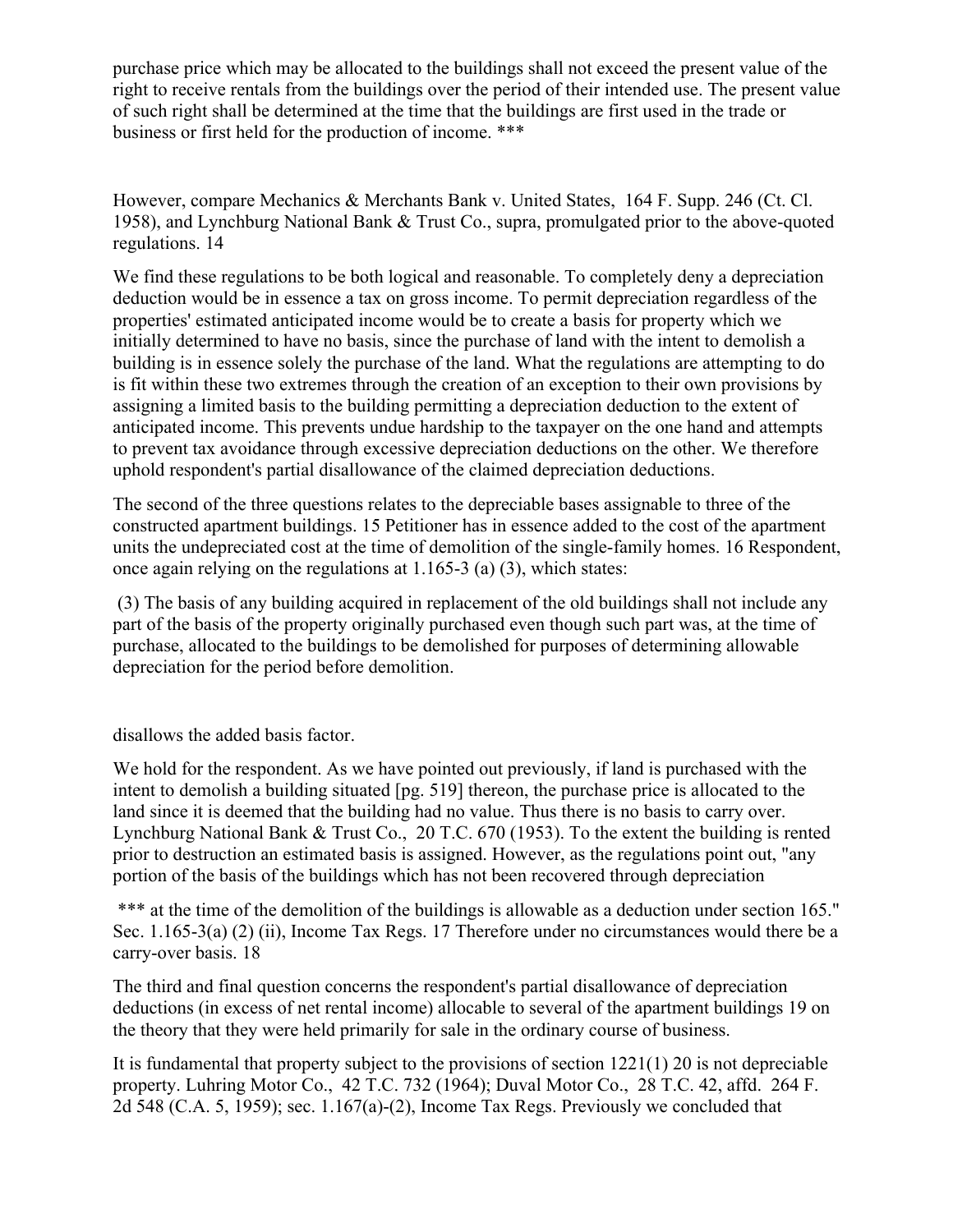purchase price which may be allocated to the buildings shall not exceed the present value of the right to receive rentals from the buildings over the period of their intended use. The present value of such right shall be determined at the time that the buildings are first used in the trade or business or first held for the production of income. \*\*\*

However, compare Mechanics & Merchants Bank v. United States, 164 F. Supp. 246 (Ct. Cl. 1958), and Lynchburg National Bank & Trust Co., supra, promulgated prior to the above-quoted regulations. 14

We find these regulations to be both logical and reasonable. To completely deny a depreciation deduction would be in essence a tax on gross income. To permit depreciation regardless of the properties' estimated anticipated income would be to create a basis for property which we initially determined to have no basis, since the purchase of land with the intent to demolish a building is in essence solely the purchase of the land. What the regulations are attempting to do is fit within these two extremes through the creation of an exception to their own provisions by assigning a limited basis to the building permitting a depreciation deduction to the extent of anticipated income. This prevents undue hardship to the taxpayer on the one hand and attempts to prevent tax avoidance through excessive depreciation deductions on the other. We therefore uphold respondent's partial disallowance of the claimed depreciation deductions.

The second of the three questions relates to the depreciable bases assignable to three of the constructed apartment buildings. 15 Petitioner has in essence added to the cost of the apartment units the undepreciated cost at the time of demolition of the single-family homes. 16 Respondent, once again relying on the regulations at 1.165-3 (a) (3), which states:

(3) The basis of any building acquired in replacement of the old buildings shall not include any part of the basis of the property originally purchased even though such part was, at the time of purchase, allocated to the buildings to be demolished for purposes of determining allowable depreciation for the period before demolition.

disallows the added basis factor.

We hold for the respondent. As we have pointed out previously, if land is purchased with the intent to demolish a building situated [pg. 519] thereon, the purchase price is allocated to the land since it is deemed that the building had no value. Thus there is no basis to carry over. Lynchburg National Bank & Trust Co., 20 T.C. 670 (1953). To the extent the building is rented prior to destruction an estimated basis is assigned. However, as the regulations point out, "any portion of the basis of the buildings which has not been recovered through depreciation

\*\*\* at the time of the demolition of the buildings is allowable as a deduction under section 165." Sec. 1.165-3(a) (2) (ii), Income Tax Regs. 17 Therefore under no circumstances would there be a carry-over basis. 18

The third and final question concerns the respondent's partial disallowance of depreciation deductions (in excess of net rental income) allocable to several of the apartment buildings 19 on the theory that they were held primarily for sale in the ordinary course of business.

It is fundamental that property subject to the provisions of section 1221(1) 20 is not depreciable property. Luhring Motor Co., 42 T.C. 732 (1964); Duval Motor Co., 28 T.C. 42, affd. 264 F. 2d 548 (C.A. 5, 1959); sec. 1.167(a)-(2), Income Tax Regs. Previously we concluded that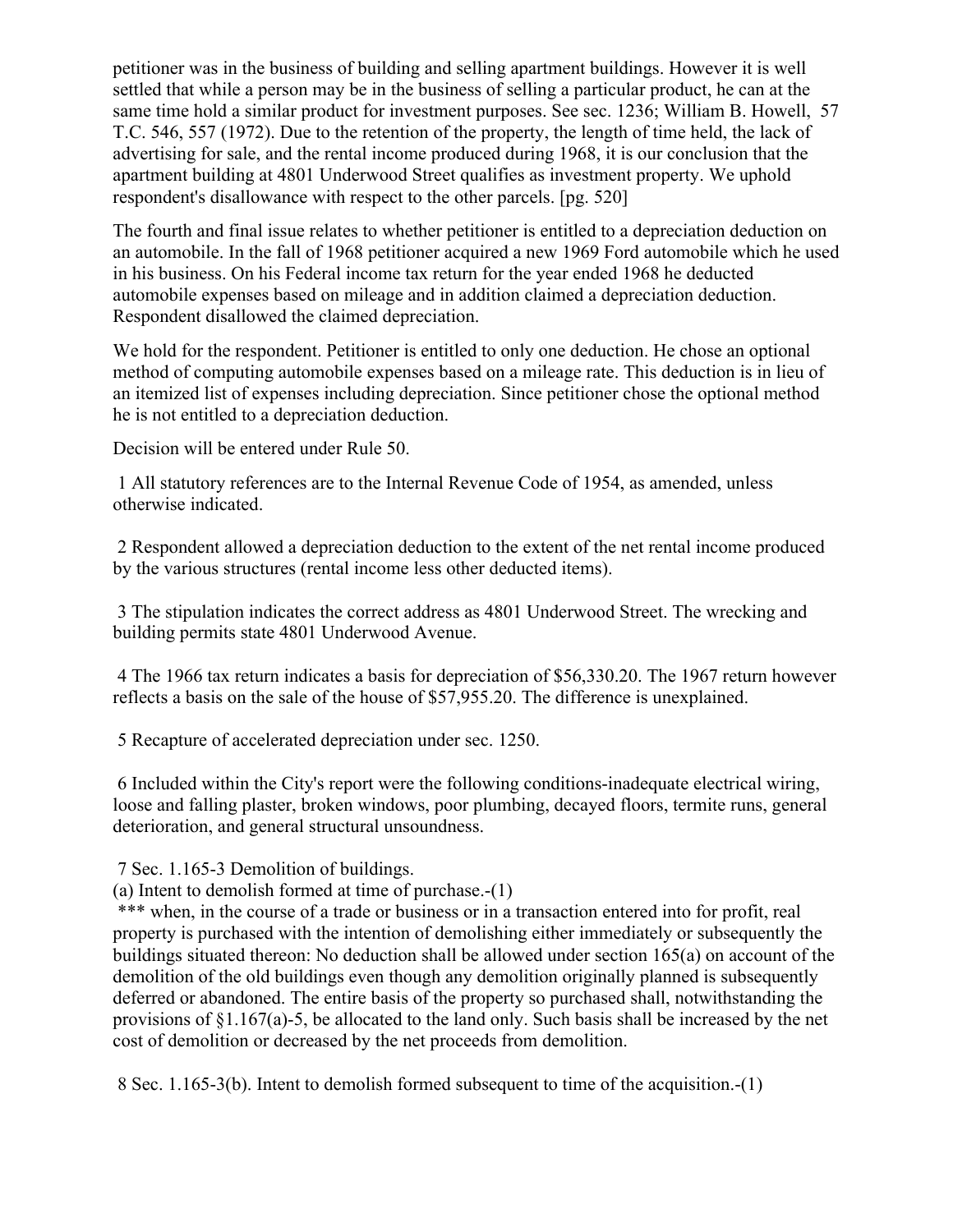petitioner was in the business of building and selling apartment buildings. However it is well settled that while a person may be in the business of selling a particular product, he can at the same time hold a similar product for investment purposes. See sec. 1236; William B. Howell, 57 T.C. 546, 557 (1972). Due to the retention of the property, the length of time held, the lack of advertising for sale, and the rental income produced during 1968, it is our conclusion that the apartment building at 4801 Underwood Street qualifies as investment property. We uphold respondent's disallowance with respect to the other parcels. [pg. 520]

The fourth and final issue relates to whether petitioner is entitled to a depreciation deduction on an automobile. In the fall of 1968 petitioner acquired a new 1969 Ford automobile which he used in his business. On his Federal income tax return for the year ended 1968 he deducted automobile expenses based on mileage and in addition claimed a depreciation deduction. Respondent disallowed the claimed depreciation.

We hold for the respondent. Petitioner is entitled to only one deduction. He chose an optional method of computing automobile expenses based on a mileage rate. This deduction is in lieu of an itemized list of expenses including depreciation. Since petitioner chose the optional method he is not entitled to a depreciation deduction.

Decision will be entered under Rule 50.

1 All statutory references are to the Internal Revenue Code of 1954, as amended, unless otherwise indicated.

2 Respondent allowed a depreciation deduction to the extent of the net rental income produced by the various structures (rental income less other deducted items).

3 The stipulation indicates the correct address as 4801 Underwood Street. The wrecking and building permits state 4801 Underwood Avenue.

4 The 1966 tax return indicates a basis for depreciation of \$56,330.20. The 1967 return however reflects a basis on the sale of the house of \$57,955.20. The difference is unexplained.

5 Recapture of accelerated depreciation under sec. 1250.

6 Included within the City's report were the following conditions-inadequate electrical wiring, loose and falling plaster, broken windows, poor plumbing, decayed floors, termite runs, general deterioration, and general structural unsoundness.

7 Sec. 1.165-3 Demolition of buildings.

(a) Intent to demolish formed at time of purchase.-(1)

\*\*\* when, in the course of a trade or business or in a transaction entered into for profit, real property is purchased with the intention of demolishing either immediately or subsequently the buildings situated thereon: No deduction shall be allowed under section 165(a) on account of the demolition of the old buildings even though any demolition originally planned is subsequently deferred or abandoned. The entire basis of the property so purchased shall, notwithstanding the provisions of §1.167(a)-5, be allocated to the land only. Such basis shall be increased by the net cost of demolition or decreased by the net proceeds from demolition.

8 Sec. 1.165-3(b). Intent to demolish formed subsequent to time of the acquisition.-(1)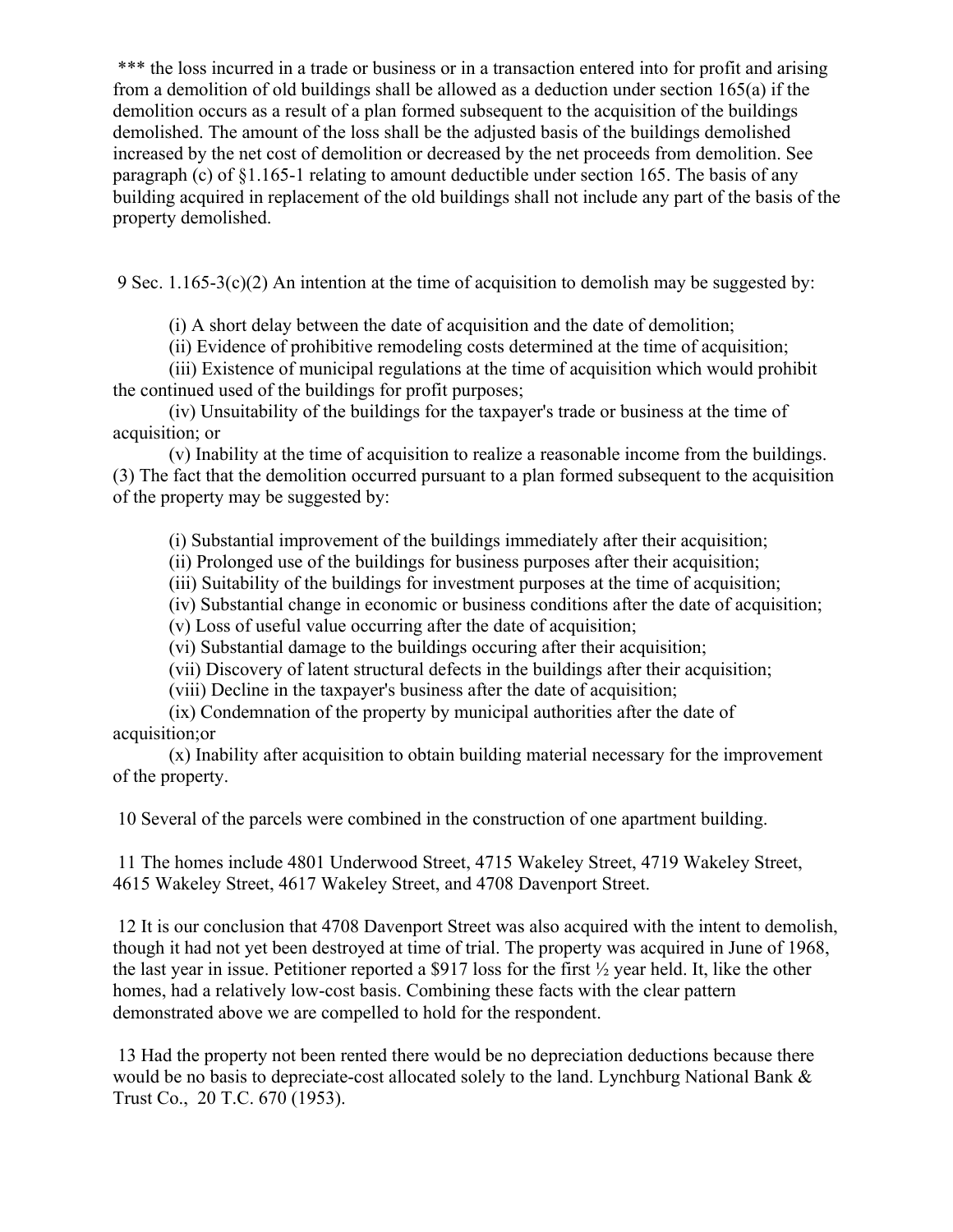\*\*\* the loss incurred in a trade or business or in a transaction entered into for profit and arising from a demolition of old buildings shall be allowed as a deduction under section 165(a) if the demolition occurs as a result of a plan formed subsequent to the acquisition of the buildings demolished. The amount of the loss shall be the adjusted basis of the buildings demolished increased by the net cost of demolition or decreased by the net proceeds from demolition. See paragraph (c) of  $\S1.165$ -1 relating to amount deductible under section 165. The basis of any building acquired in replacement of the old buildings shall not include any part of the basis of the property demolished.

9 Sec. 1.165-3(c)(2) An intention at the time of acquisition to demolish may be suggested by:

(i) A short delay between the date of acquisition and the date of demolition;

(ii) Evidence of prohibitive remodeling costs determined at the time of acquisition;

(iii) Existence of municipal regulations at the time of acquisition which would prohibit the continued used of the buildings for profit purposes;

(iv) Unsuitability of the buildings for the taxpayer's trade or business at the time of acquisition; or

(v) Inability at the time of acquisition to realize a reasonable income from the buildings. (3) The fact that the demolition occurred pursuant to a plan formed subsequent to the acquisition of the property may be suggested by:

(i) Substantial improvement of the buildings immediately after their acquisition;

(ii) Prolonged use of the buildings for business purposes after their acquisition;

(iii) Suitability of the buildings for investment purposes at the time of acquisition;

(iv) Substantial change in economic or business conditions after the date of acquisition;

(v) Loss of useful value occurring after the date of acquisition;

(vi) Substantial damage to the buildings occuring after their acquisition;

(vii) Discovery of latent structural defects in the buildings after their acquisition;

(viii) Decline in the taxpayer's business after the date of acquisition;

(ix) Condemnation of the property by municipal authorities after the date of acquisition;or

(x) Inability after acquisition to obtain building material necessary for the improvement of the property.

10 Several of the parcels were combined in the construction of one apartment building.

11 The homes include 4801 Underwood Street, 4715 Wakeley Street, 4719 Wakeley Street, 4615 Wakeley Street, 4617 Wakeley Street, and 4708 Davenport Street.

12 It is our conclusion that 4708 Davenport Street was also acquired with the intent to demolish, though it had not yet been destroyed at time of trial. The property was acquired in June of 1968, the last year in issue. Petitioner reported a \$917 loss for the first ½ year held. It, like the other homes, had a relatively low-cost basis. Combining these facts with the clear pattern demonstrated above we are compelled to hold for the respondent.

13 Had the property not been rented there would be no depreciation deductions because there would be no basis to depreciate-cost allocated solely to the land. Lynchburg National Bank & Trust Co., 20 T.C. 670 (1953).